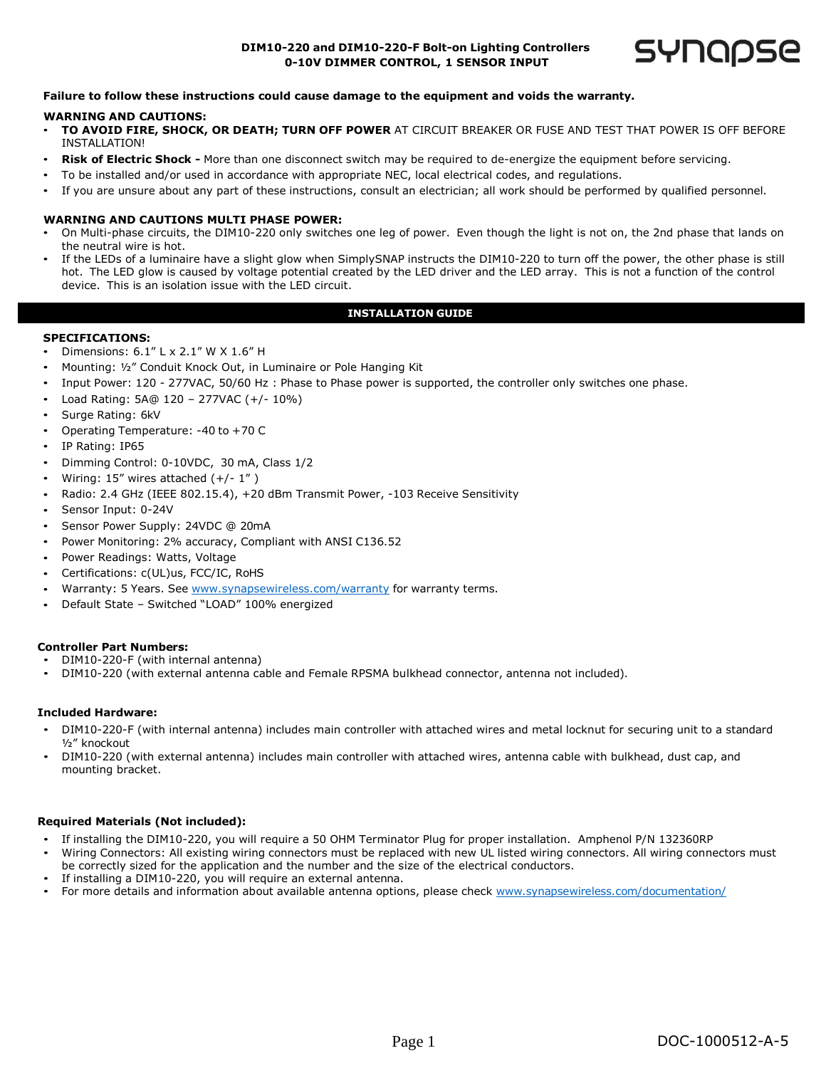# **DIM10-220 and DIM10-220-F Bolt-on Lighting Controllers 0-10V DIMMER CONTROL, 1 SENSOR INPUT**



### **Failure to follow these instructions could cause damage to the equipment and voids the warranty.**

### **WARNING AND CAUTIONS:**

- **TO AVOID FIRE, SHOCK, OR DEATH; TURN OFF POWER** AT CIRCUIT BREAKER OR FUSE AND TEST THAT POWER IS OFF BEFORE INSTALLATION!
- **Risk of Electric Shock -** More than one disconnect switch may be required to de-energize the equipment before servicing.
- To be installed and/or used in accordance with appropriate NEC, local electrical codes, and regulations.
- If you are unsure about any part of these instructions, consult an electrician; all work should be performed by qualified personnel.

#### **WARNING AND CAUTIONS MULTI PHASE POWER:**

- On Multi-phase circuits, the DIM10-220 only switches one leg of power. Even though the light is not on, the 2nd phase that lands on the neutral wire is hot.
- If the LEDs of a luminaire have a slight glow when SimplySNAP instructs the DIM10-220 to turn off the power, the other phase is still hot. The LED glow is caused by voltage potential created by the LED driver and the LED array. This is not a function of the control device. This is an isolation issue with the LED circuit.

# **INSTALLATION GUIDE**

#### **SPECIFICATIONS:**

- Dimensions: 6.1" L x 2.1" W X 1.6" H
- Mounting: ½" Conduit Knock Out, in Luminaire or Pole Hanging Kit
- Input Power: 120 - 277VAC, 50/60 Hz : Phase to Phase power is supported, the controller only switches one phase.
- Load Rating: 5A@ 120 – 277VAC (+/- 10%)
- Surge Rating: 6kV
- Operating Temperature: -40 to +70 C
- IP Rating: IP65
- Dimming Control: 0-10VDC, 30 mA, Class 1/2
- Wiring: 15" wires attached (+/- 1")
- Radio: 2.4 GHz (IEEE 802.15.4), +20 dBm Transmit Power, -103 Receive Sensitivity
- Sensor Input: 0-24V
- Sensor Power Supply: 24VDC @ 20mA
- Power Monitoring: 2% accuracy, Compliant with ANSI C136.52
- Power Readings: Watts, Voltage
- Certifications: c(UL)us, FCC/IC, RoHS
- Warranty: 5 Years. See [www.synapsewireless.com/warranty](http://www.synapsewireless.com/warranty) for warranty terms.
- Default State – Switched "LOAD" 100% energized

# **Controller Part Numbers:**

- DIM10-220-F (with internal antenna)
- DIM10-220 (with external antenna cable and Female RPSMA bulkhead connector, antenna not included).

# **Included Hardware:**

- DIM10-220-F (with internal antenna) includes main controller with attached wires and metal locknut for securing unit to a standard ½" knockout
- DIM10-220 (with external antenna) includes main controller with attached wires, antenna cable with bulkhead, dust cap, and mounting bracket.

#### **Required Materials (Not included):**

- If installing the DIM10-220, you will require a 50 OHM Terminator Plug for proper installation. Amphenol P/N 132360RP
- Wiring Connectors: All existing wiring connectors must be replaced with new UL listed wiring connectors. All wiring connectors must be correctly sized for the application and the number and the size of the electrical conductors.
- If installing a DIM10-220, you will require an external antenna.
- For more details and information about available antenna options, please check [www.synapsewireless.com/documentation/](http://www.synapsewireless.com/documentation/)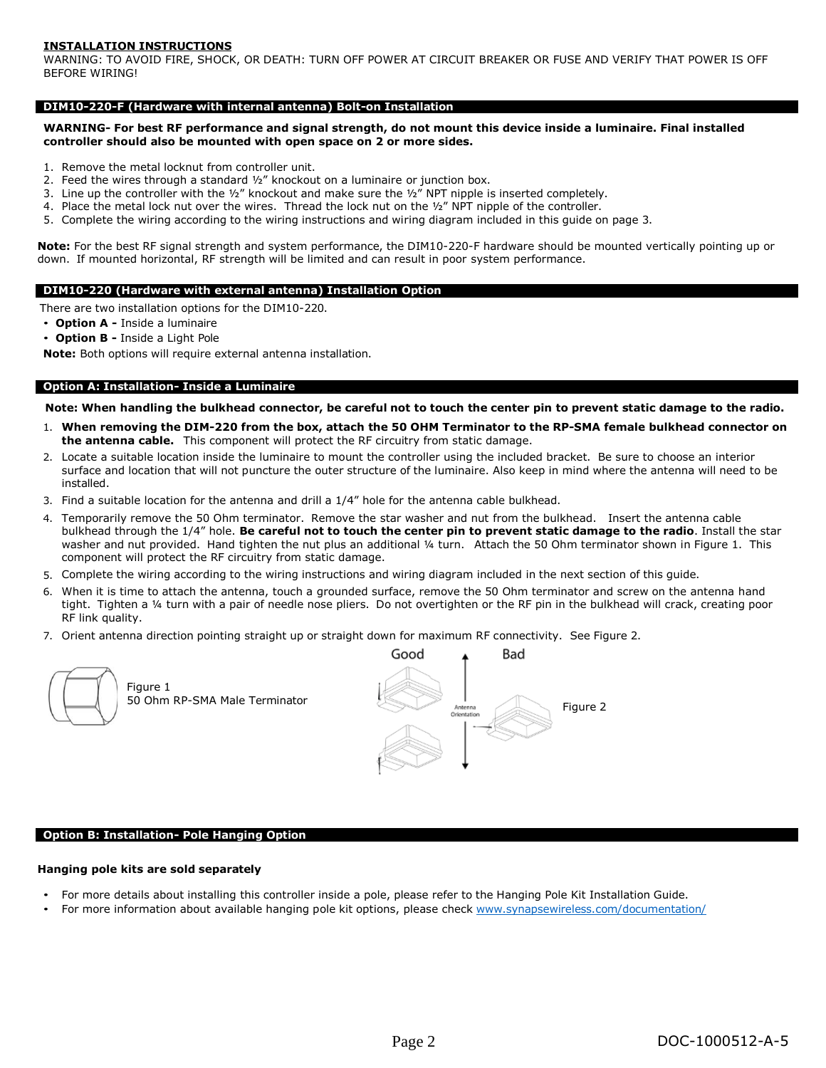### **INSTALLATION INSTRUCTIONS**

WARNING: TO AVOID FIRE, SHOCK, OR DEATH: TURN OFF POWER AT CIRCUIT BREAKER OR FUSE AND VERIFY THAT POWER IS OFF BEFORE WIRING!

#### **DIM10-220-F (Hardware with internal antenna) Bolt-on Installation**

WARNING- For best RF performance and signal strength, do not mount this device inside a luminaire. Final installed **controller should also be mounted with open space on 2 or more sides.**

- 1. Remove the metal locknut from controller unit.
- 2. Feed the wires through a standard ½" knockout on a luminaire or junction box.
- 3. Line up the controller with the  $\frac{1}{2}$ " knockout and make sure the  $\frac{1}{2}$ " NPT nipple is inserted completely.
- 4. Place the metal lock nut over the wires. Thread the lock nut on the  $1/2''$  NPT nipple of the controller.
- 5. Complete the wiring according to the wiring instructions and wiring diagram included in this guide on page 3.

**Note:** For the best RF signal strength and system performance, the DIM10-220-F hardware should be mounted vertically pointing up or down. If mounted horizontal, RF strength will be limited and can result in poor system performance.

#### **DIM10-220 (Hardware with external antenna) Installation Option**

There are two installation options for the DIM10-220.

- **Option A -** Inside a luminaire
- **Option B -** Inside a Light Pole

**Note:** Both options will require external antenna installation.

#### **Option A: Installation- Inside a Luminaire**

Note: When handling the bulkhead connector, be careful not to touch the center pin to prevent static damage to the radio.

- 1. When removing the DIM-220 from the box, attach the 50 OHM Terminator to the RP-SMA female bulkhead connector on **the antenna cable.** This component will protect the RF circuitry from static damage.
- 2. Locate a suitable location inside the luminaire to mount the controller using the included bracket. Be sure to choose an interior surface and location that will not puncture the outer structure of the luminaire. Also keep in mind where the antenna will need to be installed.
- 3. Find a suitable location for the antenna and drill a 1/4" hole for the antenna cable bulkhead.
- 4. Temporarily remove the 50 Ohm terminator. Remove the star washer and nut from the bulkhead. Insert the antenna cable bulkhead through the 1/4" hole. Be careful not to touch the center pin to prevent static damage to the radio. Install the star washer and nut provided. Hand tighten the nut plus an additional ¼ turn. Attach the 50 Ohm terminator shown in Figure 1. This component will protect the RF circuitry from static damage.
- 5. Complete the wiring according to the wiring instructions and wiring diagram included in the next section of this guide.
- 6. When it is time to attach the antenna, touch a grounded surface, remove the 50 Ohm terminator and screw on the antenna hand tight. Tighten a ¼ turn with a pair of needle nose pliers. Do not overtighten or the RF pin in the bulkhead will crack, creating poor RF link quality.
- 7. Orient antenna direction pointing straight up or straight down for maximum RF connectivity. See Figure 2.



Figure 1



### **Option B: Installation- Pole Hanging Option**

#### **Hanging pole kits are sold separately**

- For more details about installing this controller inside a pole, please refer to the Hanging Pole Kit Installation Guide.
- For more information about available hanging pole kit options, please check [www.synapsewireless.com/documentation/](http://www.synapsewireless.com/documentation/)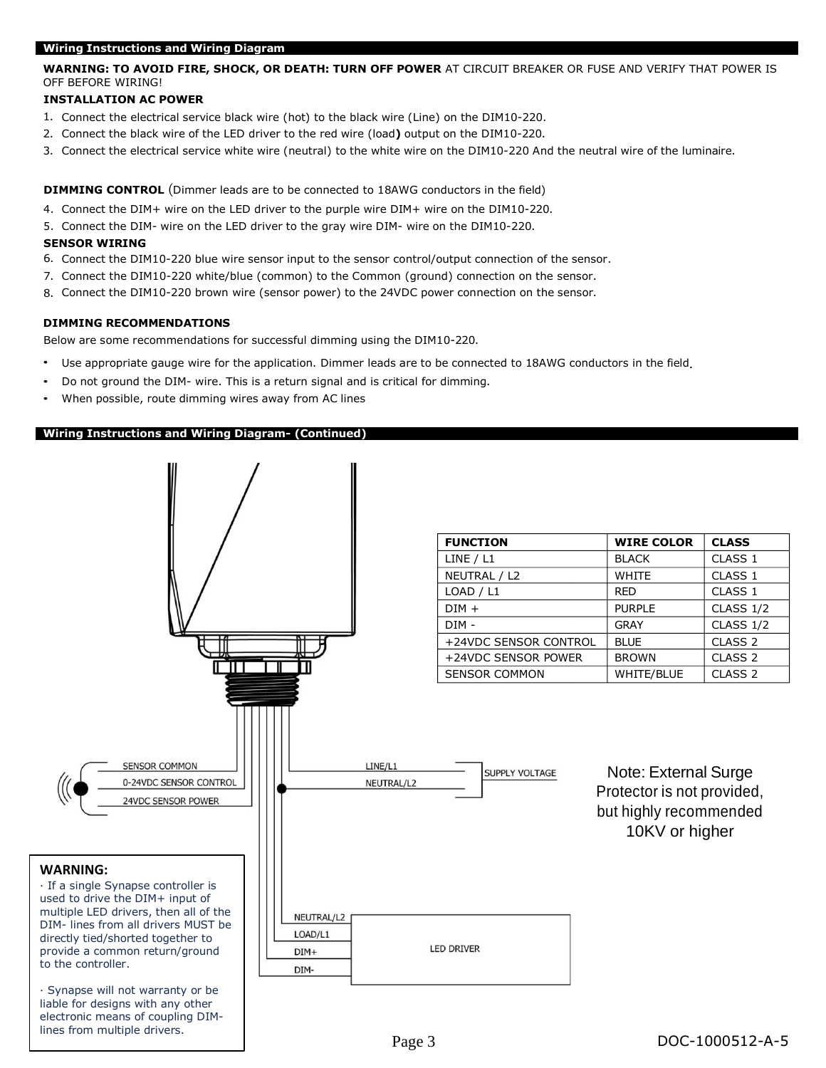### **Wiring Instructions and Wiring Diagram**

# **WARNING: TO AVOID FIRE, SHOCK, OR DEATH: TURN OFF POWER** AT CIRCUIT BREAKER OR FUSE AND VERIFY THAT POWER IS OFF BEFORE WIRING!

# **INSTALLATION AC POWER**

- 1. Connect the electrical service black wire (hot) to the black wire (Line) on the DIM10-220.
- 2. Connect the black wire of the LED driver to the red wire (load**)** output on the DIM10-220.
- 3. Connect the electrical service white wire (neutral) to the white wire on the DIM10-220 And the neutral wire of the luminaire.

**DIMMING CONTROL** (Dimmer leads are to be connected to 18AWG conductors in the field)

- 4. Connect the DIM+ wire on the LED driver to the purple wire DIM+ wire on the DIM10-220.
- 5. Connect the DIM- wire on the LED driver to the gray wire DIM- wire on the DIM10-220.

# **SENSOR WIRING**

- 6. Connect the DIM10-220 blue wire sensor input to the sensor control/output connection of the sensor.
- 7. Connect the DIM10-220 white/blue (common) to the Common (ground) connection on the sensor.
- 8. Connect the DIM10-220 brown wire (sensor power) to the 24VDC power connection on the sensor.

# **DIMMING RECOMMENDATIONS**

Below are some recommendations for successful dimming using the DIM10-220.

- Use appropriate gauge wire for the application. Dimmer leads are to be connected to 18AWG conductors in the field. •
- Do not ground the DIM- wire. This is a return signal and is critical for dimming.
- When possible, route dimming wires away from AC lines

# **Wiring Instructions and Wiring Diagram- (Continued)**